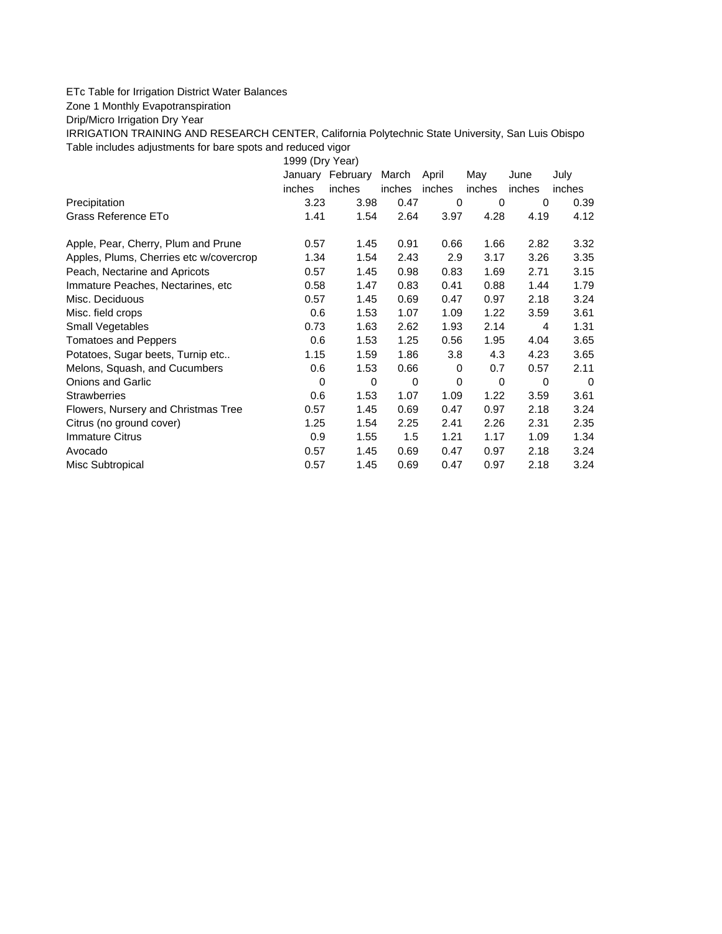## ETc Table for Irrigation District Water Balances

Zone 1 Monthly Evapotranspiration

Drip/Micro Irrigation Dry Year

IRRIGATION TRAINING AND RESEARCH CENTER, California Polytechnic State University, San Luis Obispo Table includes adjustments for bare spots and reduced vigor

1999 (Dry Year)

|                                         | January | February | March  | April  | May    | June     | July     |
|-----------------------------------------|---------|----------|--------|--------|--------|----------|----------|
|                                         | inches  | inches   | inches | inches | inches | inches   | inches   |
| Precipitation                           | 3.23    | 3.98     | 0.47   | 0      | 0      | 0        | 0.39     |
| Grass Reference ETo                     | 1.41    | 1.54     | 2.64   | 3.97   | 4.28   | 4.19     | 4.12     |
| Apple, Pear, Cherry, Plum and Prune     | 0.57    | 1.45     | 0.91   | 0.66   | 1.66   | 2.82     | 3.32     |
| Apples, Plums, Cherries etc w/covercrop | 1.34    | 1.54     | 2.43   | 2.9    | 3.17   | 3.26     | 3.35     |
| Peach, Nectarine and Apricots           | 0.57    | 1.45     | 0.98   | 0.83   | 1.69   | 2.71     | 3.15     |
| Immature Peaches, Nectarines, etc.      | 0.58    | 1.47     | 0.83   | 0.41   | 0.88   | 1.44     | 1.79     |
| Misc. Deciduous                         | 0.57    | 1.45     | 0.69   | 0.47   | 0.97   | 2.18     | 3.24     |
| Misc. field crops                       | 0.6     | 1.53     | 1.07   | 1.09   | 1.22   | 3.59     | 3.61     |
| Small Vegetables                        | 0.73    | 1.63     | 2.62   | 1.93   | 2.14   | 4        | 1.31     |
| <b>Tomatoes and Peppers</b>             | 0.6     | 1.53     | 1.25   | 0.56   | 1.95   | 4.04     | 3.65     |
| Potatoes, Sugar beets, Turnip etc       | 1.15    | 1.59     | 1.86   | 3.8    | 4.3    | 4.23     | 3.65     |
| Melons, Squash, and Cucumbers           | 0.6     | 1.53     | 0.66   | 0      | 0.7    | 0.57     | 2.11     |
| <b>Onions and Garlic</b>                | 0       | 0        | 0      | 0      | 0      | $\Omega$ | $\Omega$ |
| <b>Strawberries</b>                     | 0.6     | 1.53     | 1.07   | 1.09   | 1.22   | 3.59     | 3.61     |
| Flowers, Nursery and Christmas Tree     | 0.57    | 1.45     | 0.69   | 0.47   | 0.97   | 2.18     | 3.24     |
| Citrus (no ground cover)                | 1.25    | 1.54     | 2.25   | 2.41   | 2.26   | 2.31     | 2.35     |
| Immature Citrus                         | 0.9     | 1.55     | 1.5    | 1.21   | 1.17   | 1.09     | 1.34     |
| Avocado                                 | 0.57    | 1.45     | 0.69   | 0.47   | 0.97   | 2.18     | 3.24     |
| Misc Subtropical                        | 0.57    | 1.45     | 0.69   | 0.47   | 0.97   | 2.18     | 3.24     |